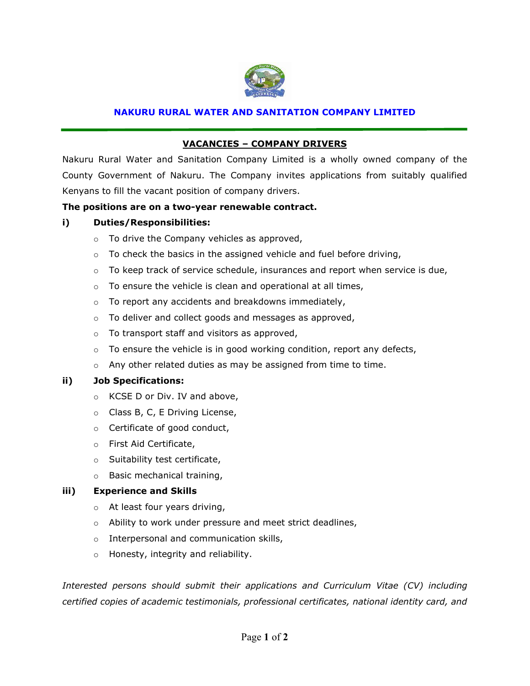

#### **NAKURU RURAL WATER AND SANITATION COMPANY LIMITED**

## **VACANCIES – COMPANY DRIVERS**

Nakuru Rural Water and Sanitation Company Limited is a wholly owned company of the County Government of Nakuru. The Company invites applications from suitably qualified Kenyans to fill the vacant position of company drivers.

### **The positions are on a two-year renewable contract.**

#### **i) Duties/Responsibilities:**

- o To drive the Company vehicles as approved,
- $\circ$  To check the basics in the assigned vehicle and fuel before driving,
- $\circ$  To keep track of service schedule, insurances and report when service is due,
- $\circ$  To ensure the vehicle is clean and operational at all times,
- o To report any accidents and breakdowns immediately,
- o To deliver and collect goods and messages as approved,
- o To transport staff and visitors as approved,
- $\circ$  To ensure the vehicle is in good working condition, report any defects,
- o Any other related duties as may be assigned from time to time.

#### **ii) Job Specifications:**

- o KCSE D or Div. IV and above,
- o Class B, C, E Driving License,
- o Certificate of good conduct,
- o First Aid Certificate,
- o Suitability test certificate,
- o Basic mechanical training,

### **iii) Experience and Skills**

- o At least four years driving,
- o Ability to work under pressure and meet strict deadlines,
- o Interpersonal and communication skills,
- o Honesty, integrity and reliability.

*Interested persons should submit their applications and Curriculum Vitae (CV) including certified copies of academic testimonials, professional certificates, national identity card, and*